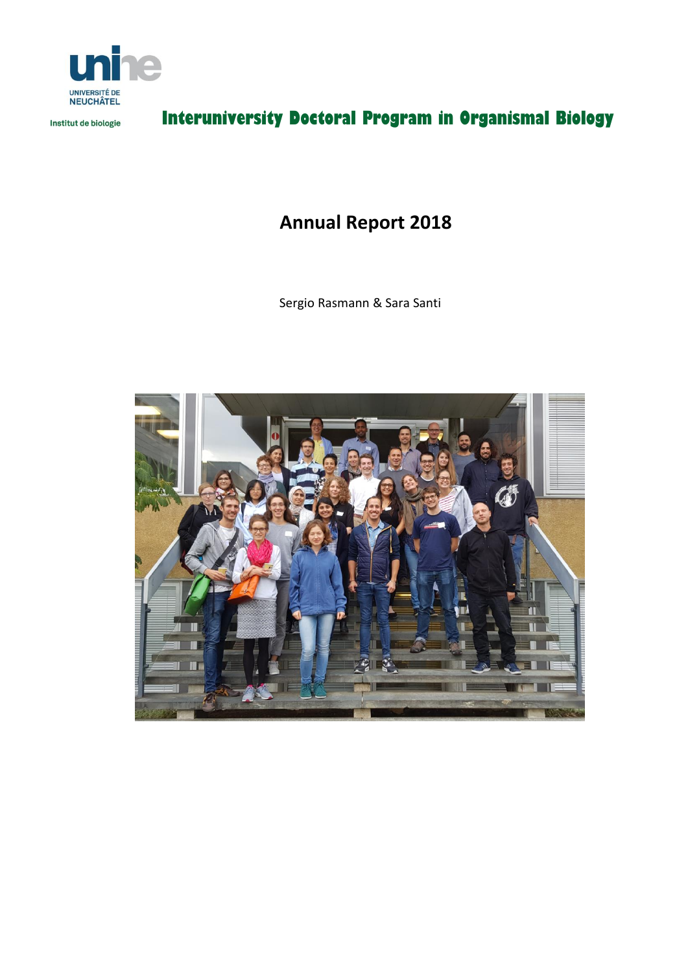

Institut de biologie

# **Interuniversity Doctoral Program in Organismal Biology**

## **Annual Report 2018**

Sergio Rasmann & Sara Santi

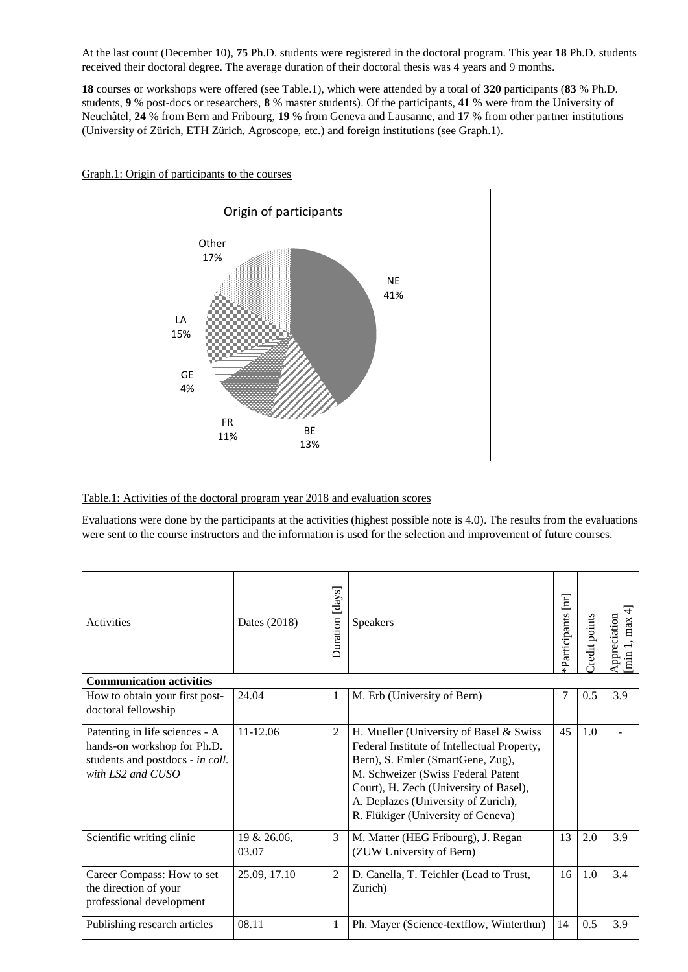At the last count (December 10), **75** Ph.D. students were registered in the doctoral program. This year **18** Ph.D. students received their doctoral degree. The average duration of their doctoral thesis was 4 years and 9 months.

**18** courses or workshops were offered (see Table.1), which were attended by a total of **320** participants (**83** % Ph.D. students, **9** % post-docs or researchers, **8** % master students). Of the participants, **41** % were from the University of Neuchâtel, **24** % from Bern and Fribourg, **19** % from Geneva and Lausanne, and **17** % from other partner institutions (University of Zürich, ETH Zürich, Agroscope, etc.) and foreign institutions (see Graph.1).



Graph.1: Origin of participants to the courses

#### Table.1: Activities of the doctoral program year 2018 and evaluation scores

Evaluations were done by the participants at the activities (highest possible note is 4.0). The results from the evaluations were sent to the course instructors and the information is used for the selection and improvement of future courses.

| <b>Activities</b>                                                                                                      | Dates (2018)         | Duration [days] | <b>Speakers</b>                                                                                                                                                                                                                                                                          | $\rm{[nr]}$<br>*Participants | Credit points | $\overline{4}$<br>Appreciation<br>[min 1, max |
|------------------------------------------------------------------------------------------------------------------------|----------------------|-----------------|------------------------------------------------------------------------------------------------------------------------------------------------------------------------------------------------------------------------------------------------------------------------------------------|------------------------------|---------------|-----------------------------------------------|
| <b>Communication activities</b>                                                                                        |                      |                 |                                                                                                                                                                                                                                                                                          |                              |               |                                               |
| How to obtain your first post-<br>doctoral fellowship                                                                  | 24.04                | 1               | M. Erb (University of Bern)                                                                                                                                                                                                                                                              | 7                            | 0.5           | 3.9                                           |
| Patenting in life sciences - A<br>hands-on workshop for Ph.D.<br>students and postdocs - in coll.<br>with LS2 and CUSO | 11-12.06             | $\overline{2}$  | H. Mueller (University of Basel & Swiss<br>Federal Institute of Intellectual Property,<br>Bern), S. Emler (SmartGene, Zug),<br>M. Schweizer (Swiss Federal Patent<br>Court), H. Zech (University of Basel),<br>A. Deplazes (University of Zurich),<br>R. Flükiger (University of Geneva) | 45                           | 1.0           |                                               |
| Scientific writing clinic                                                                                              | 19 & 26.06,<br>03.07 | 3               | M. Matter (HEG Fribourg), J. Regan<br>(ZUW University of Bern)                                                                                                                                                                                                                           | 13                           | 2.0           | 3.9                                           |
| Career Compass: How to set<br>the direction of your<br>professional development                                        | 25.09, 17.10         | $\overline{2}$  | D. Canella, T. Teichler (Lead to Trust,<br>Zurich)                                                                                                                                                                                                                                       | 16                           | 1.0           | 3.4                                           |
| Publishing research articles                                                                                           | 08.11                | 1               | Ph. Mayer (Science-textflow, Winterthur)                                                                                                                                                                                                                                                 | 14                           | 0.5           | 3.9                                           |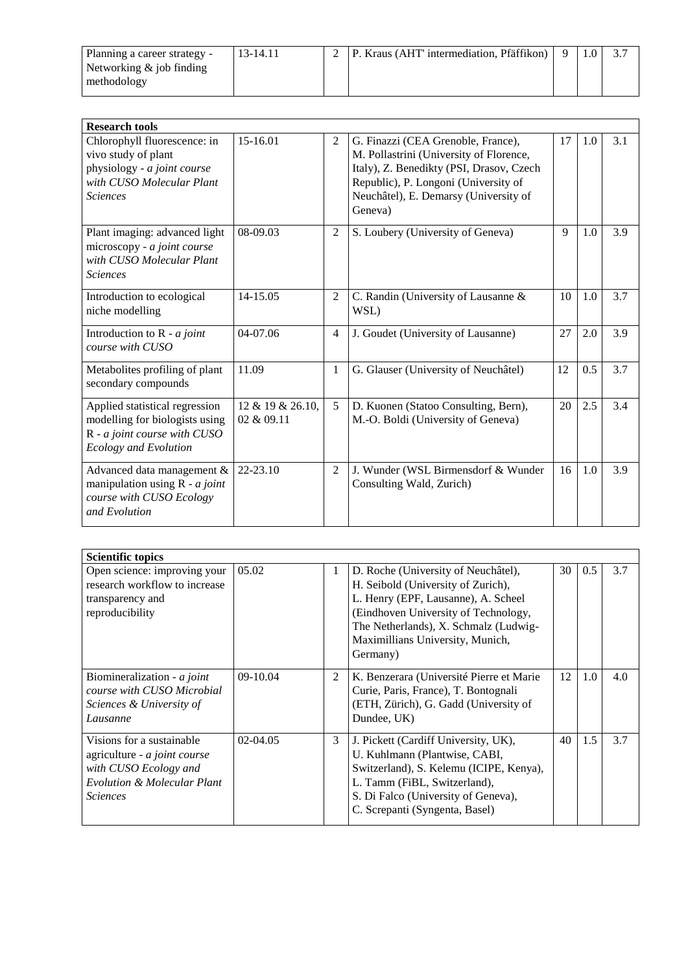| Planning a career strategy -               | 13-14.11 | P. Kraus (AHT' intermediation, Pfäffikon) |  |  |
|--------------------------------------------|----------|-------------------------------------------|--|--|
| Networking $\&$ job finding<br>methodology |          |                                           |  |  |

| <b>Research tools</b>                                                                                                              |                                |                |                                                                                                                                                                                                                       |    |     |     |
|------------------------------------------------------------------------------------------------------------------------------------|--------------------------------|----------------|-----------------------------------------------------------------------------------------------------------------------------------------------------------------------------------------------------------------------|----|-----|-----|
| Chlorophyll fluorescence: in<br>vivo study of plant<br>physiology - a joint course<br>with CUSO Molecular Plant<br><i>Sciences</i> | 15-16.01                       | 2              | G. Finazzi (CEA Grenoble, France),<br>M. Pollastrini (University of Florence,<br>Italy), Z. Benedikty (PSI, Drasov, Czech<br>Republic), P. Longoni (University of<br>Neuchâtel), E. Demarsy (University of<br>Geneva) | 17 | 1.0 | 3.1 |
| Plant imaging: advanced light<br>microscopy - a joint course<br>with CUSO Molecular Plant<br><b>Sciences</b>                       | 08-09.03                       | $\overline{2}$ | S. Loubery (University of Geneva)                                                                                                                                                                                     | 9  | 1.0 | 3.9 |
| Introduction to ecological<br>niche modelling                                                                                      | 14-15.05                       | 2              | C. Randin (University of Lausanne &<br>WSL)                                                                                                                                                                           | 10 | 1.0 | 3.7 |
| Introduction to $R - a$ joint<br>course with CUSO                                                                                  | 04-07.06                       | $\overline{4}$ | J. Goudet (University of Lausanne)                                                                                                                                                                                    | 27 | 2.0 | 3.9 |
| Metabolites profiling of plant<br>secondary compounds                                                                              | 11.09                          | $\mathbf{1}$   | G. Glauser (University of Neuchâtel)                                                                                                                                                                                  | 12 | 0.5 | 3.7 |
| Applied statistical regression<br>modelling for biologists using<br>R - a joint course with CUSO<br>Ecology and Evolution          | 12 & 19 & 26.10,<br>02 & 09.11 | 5              | D. Kuonen (Statoo Consulting, Bern),<br>M.-O. Boldi (University of Geneva)                                                                                                                                            | 20 | 2.5 | 3.4 |
| Advanced data management &<br>manipulation using $R - a joint$<br>course with CUSO Ecology<br>and Evolution                        | 22-23.10                       | $\overline{2}$ | J. Wunder (WSL Birmensdorf & Wunder<br>Consulting Wald, Zurich)                                                                                                                                                       | 16 | 1.0 | 3.9 |

| <b>Scientific topics</b>                                                                                                                        |            |                |                                                                                                                                                                                                                                                   |    |     |     |  |  |
|-------------------------------------------------------------------------------------------------------------------------------------------------|------------|----------------|---------------------------------------------------------------------------------------------------------------------------------------------------------------------------------------------------------------------------------------------------|----|-----|-----|--|--|
| Open science: improving your<br>research workflow to increase<br>transparency and<br>reproducibility                                            | 05.02      | 1              | D. Roche (University of Neuchâtel),<br>H. Seibold (University of Zurich),<br>L. Henry (EPF, Lausanne), A. Scheel<br>(Eindhoven University of Technology,<br>The Netherlands), X. Schmalz (Ludwig-<br>Maximillians University, Munich,<br>Germany) | 30 | 0.5 | 3.7 |  |  |
| Biomineralization - <i>a joint</i><br>course with CUSO Microbial<br>Sciences & University of<br>Lausanne                                        | $09-10.04$ | $\mathfrak{D}$ | K. Benzerara (Université Pierre et Marie<br>Curie, Paris, France), T. Bontognali<br>(ETH, Zürich), G. Gadd (University of<br>Dundee, UK)                                                                                                          | 12 | 1.0 | 4.0 |  |  |
| Visions for a sustainable<br>agriculture - a joint course<br>with CUSO Ecology and<br><b>Evolution &amp; Molecular Plant</b><br><i>Sciences</i> | 02-04.05   | 3              | J. Pickett (Cardiff University, UK),<br>U. Kuhlmann (Plantwise, CABI,<br>Switzerland), S. Kelemu (ICIPE, Kenya),<br>L. Tamm (FiBL, Switzerland),<br>S. Di Falco (University of Geneva),<br>C. Screpanti (Syngenta, Basel)                         | 40 | 1.5 | 3.7 |  |  |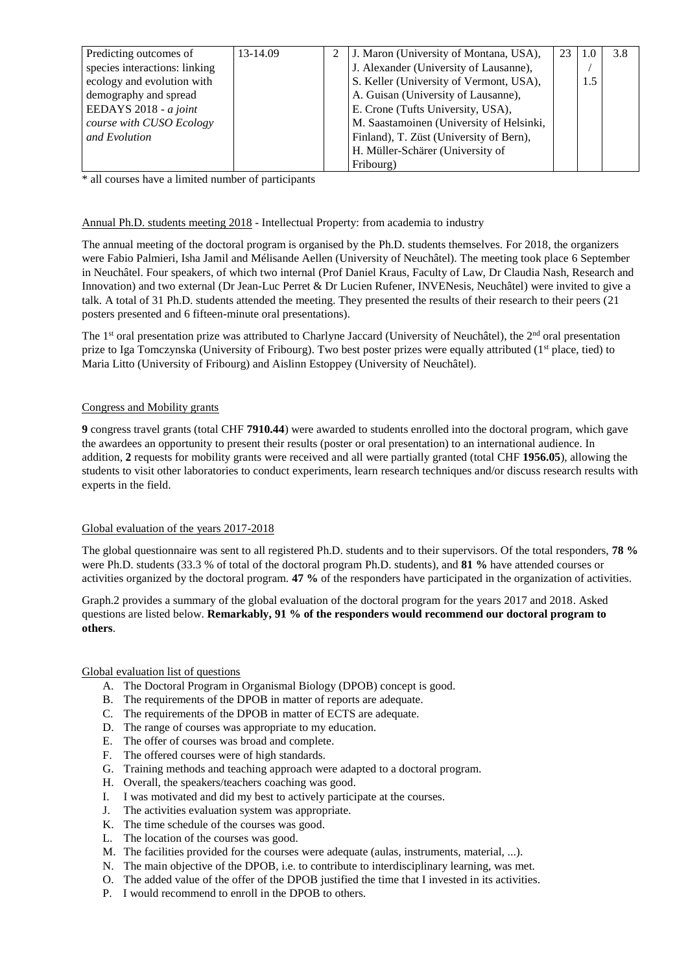| Predicting outcomes of        | 13-14.09 | 2 | J. Maron (University of Montana, USA),   | 23 | 1.0 | 3.8 |
|-------------------------------|----------|---|------------------------------------------|----|-----|-----|
| species interactions: linking |          |   | J. Alexander (University of Lausanne),   |    |     |     |
| ecology and evolution with    |          |   | S. Keller (University of Vermont, USA),  |    | 1.5 |     |
| demography and spread         |          |   | A. Guisan (University of Lausanne),      |    |     |     |
| EEDAYS $2018 - a$ joint       |          |   | E. Crone (Tufts University, USA),        |    |     |     |
| course with CUSO Ecology      |          |   | M. Saastamoinen (University of Helsinki, |    |     |     |
| and Evolution                 |          |   | Finland), T. Züst (University of Bern),  |    |     |     |
|                               |          |   | H. Müller-Schärer (University of         |    |     |     |
|                               |          |   | Fribourg)                                |    |     |     |

\* all courses have a limited number of participants

### Annual Ph.D. students meeting 2018 - Intellectual Property: from academia to industry

The annual meeting of the doctoral program is organised by the Ph.D. students themselves. For 2018, the organizers were Fabio Palmieri, Isha Jamil and Mélisande Aellen (University of Neuchâtel). The meeting took place 6 September in Neuchâtel. Four speakers, of which two internal (Prof Daniel Kraus, Faculty of Law, Dr Claudia Nash, Research and Innovation) and two external (Dr Jean-Luc Perret & Dr Lucien Rufener, INVENesis, Neuchâtel) were invited to give a talk. A total of 31 Ph.D. students attended the meeting. They presented the results of their research to their peers (21 posters presented and 6 fifteen-minute oral presentations).

The 1<sup>st</sup> oral presentation prize was attributed to Charlyne Jaccard (University of Neuchâtel), the 2<sup>nd</sup> oral presentation prize to Iga Tomczynska (University of Fribourg). Two best poster prizes were equally attributed (1<sup>st</sup> place, tied) to Maria Litto (University of Fribourg) and Aislinn Estoppey (University of Neuchâtel).

#### Congress and Mobility grants

**9** congress travel grants (total CHF **7910.44**) were awarded to students enrolled into the doctoral program, which gave the awardees an opportunity to present their results (poster or oral presentation) to an international audience. In addition, **2** requests for mobility grants were received and all were partially granted (total CHF **1956.05**), allowing the students to visit other laboratories to conduct experiments, learn research techniques and/or discuss research results with experts in the field.

## Global evaluation of the years 2017-2018

The global questionnaire was sent to all registered Ph.D. students and to their supervisors. Of the total responders, **78 %** were Ph.D. students (33.3 % of total of the doctoral program Ph.D. students), and **81 %** have attended courses or activities organized by the doctoral program. **47 %** of the responders have participated in the organization of activities.

Graph.2 provides a summary of the global evaluation of the doctoral program for the years 2017 and 2018. Asked questions are listed below. **Remarkably, 91 % of the responders would recommend our doctoral program to others**.

#### Global evaluation list of questions

- A. The Doctoral Program in Organismal Biology (DPOB) concept is good.
- B. The requirements of the DPOB in matter of reports are adequate.
- C. The requirements of the DPOB in matter of ECTS are adequate.
- D. The range of courses was appropriate to my education.
- E. The offer of courses was broad and complete.
- F. The offered courses were of high standards.
- G. Training methods and teaching approach were adapted to a doctoral program.
- H. Overall, the speakers/teachers coaching was good.
- I. I was motivated and did my best to actively participate at the courses.
- J. The activities evaluation system was appropriate.
- K. The time schedule of the courses was good.
- L. The location of the courses was good.
- M. The facilities provided for the courses were adequate (aulas, instruments, material, ...).
- N. The main objective of the DPOB, i.e. to contribute to interdisciplinary learning, was met.
- O. The added value of the offer of the DPOB justified the time that I invested in its activities.
- P. I would recommend to enroll in the DPOB to others.